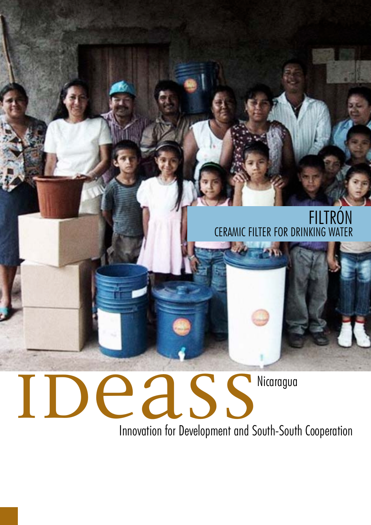# FILTRON CERAMIC FILTER FOR DRINKING WATER

# IDEASS<sup>Nicaragua</sup>

Innovation for Development and South-South Cooperation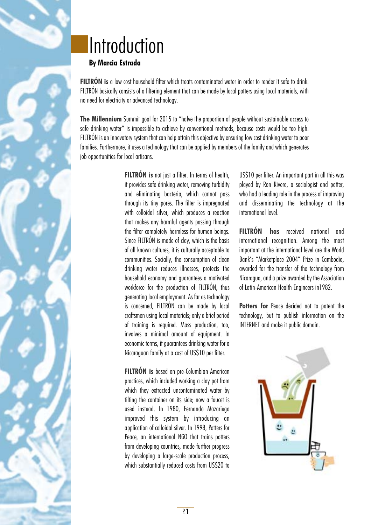# **Introduction**

# **By Marcia Estrada**

**FILTRÓN is** a low cost household filter which treats contaminated water in order to render it safe to drink. FILTRÓN basically consists of a filtering element that can be made by local potters using local materials, with no need for electricity or advanced technology.

**The Millennium** Summit goal for 2015 to "halve the proportion of people without sustainable access to safe drinking water" is impossible to achieve by conventional methods, because costs would be too high. FILTRÓN is an innovatory system that can help attain this objective by ensuring low cost drinking water to poor families. Furthermore, it uses a technology that can be applied by members of the family and which generates job opportunities for local artisans.

> **FILTRÓN** is not just a filter. In terms of health, it provides safe drinking water, removing turbidity and eliminating bacteria, which cannot pass through its tiny pores. The filter is impregnated with colloidal silver, which produces a reaction that makes any harmful agents passing through the filter completely harmless for human beings. Since FILTRÓN is made of clay, which is the basis of all known cultures, it is culturally acceptable to communities. Socially, the consumption of clean drinking water reduces illnesses, protects the household economy and guarantees a motivated workforce for the production of FILTRÓN, thus generating local employment. As far as technology is concerned, FILTRÓN can be made by local craftsmen using local materials; only a brief period of training is required. Mass production, too, involves a minimal amount of equipment. In economic terms, it guarantees drinking water for a Nicaraguan family at a cost of US\$10 per filter.

> **FILTRÓN is** based on pre-Columbian American practices, which included working a clay pot from which they extracted uncontaminated water by tilting the container on its side; now a faucet is used instead. In 1980, Fernando Mazariego improved this system by introducing an application of colloidal silver. In 1998, Potters for Peace, an international NGO that trains potters from developing countries, made further progress by developing a large-scale production process, which substantially reduced costs from US\$20 to

US\$10 per filter. An important part in all this was played by Ron Rivera, a sociologist and potter, who had a leading role in the process of improving and disseminating the technology at the international level.

**FILTRÓN has** received national and international recognition. Among the most important at the international level are the World Bank's "Marketplace 2004" Prize in Cambodia, awarded for the transfer of the technology from Nicaragua, and a prize awarded by the Association of Latin-American Health Engineers in1982.

**Potters for** Peace decided not to patent the technology, but to publish information on the INTERNET and make it public domain.

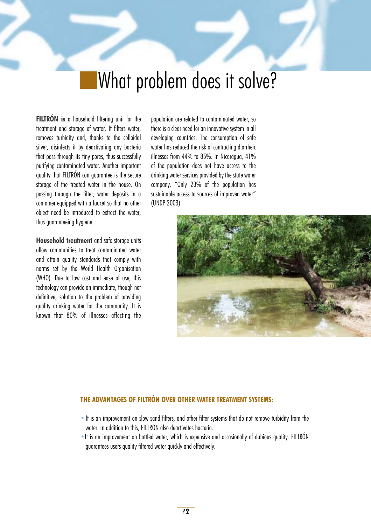# What problem does it solve?

**FILTRÓN is** a household filtering unit for the treatment and storage of water. It filters water, removes turbidity and, thanks to the colloidal silver, disinfects it by deactivating any bacteria that pass through its tiny pores, thus successfully purifying contaminated water. Another important quality that FILTRÓN can guarantee is the secure storage of the treated water in the house. On passing through the filter, water deposits in a container equipped with a faucet so that no other object need be introduced to extract the water, thus guaranteeing hygiene.

**Household treatment** and safe storage units allow communities to treat contaminated water and attain quality standards that comply with norms set by the World Health Organisation (WHO). Due to low cost and ease of use, this technology can provide an immediate, though not definitive, solution to the problem of providing quality drinking water for the community. It is known that 80% of illnesses affecting the population are related to contaminated water, so there is a clear need for an innovative system in all developing countries. The consumption of safe water has reduced the risk of contracting diarrheic illnesses from 44% to 85%. In Nicaragua, 41% of the population does not have access to the drinking water services provided by the state water company. "Only 23% of the population has sustainable access to sources of improved water" (UNDP 2003).



### **THE ADVANTAGES OF FILTRÓN OVER OTHER WATER TREATMENT SYSTEMS:**

- It is an improvement on slow sand filters, and other filter systems that do not remove turbidity from the water. In addition to this, FILTRÓN also deactivates bacteria.
- •It is an improvement on bottled water, which is expensive and occasionally of dubious quality. FILTRÓN guarantees users quality filtered water quickly and effectively.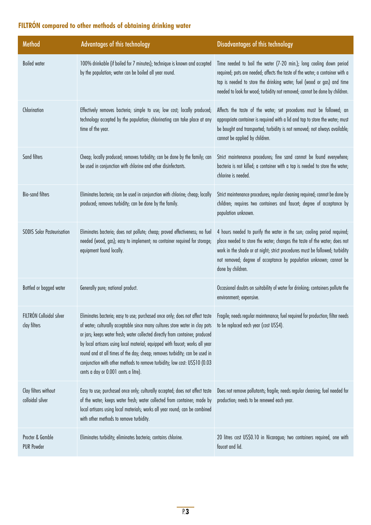# **FILTRÓN compared to other methods of obtaining drinking water**

| Method                                   | <b>Advantages of this technology</b>                                                                                                                                                                                                                                                                                                                                                                                                               | Disadvantages of this technology                                                                                                                                                                                                                                                                                                |  |
|------------------------------------------|----------------------------------------------------------------------------------------------------------------------------------------------------------------------------------------------------------------------------------------------------------------------------------------------------------------------------------------------------------------------------------------------------------------------------------------------------|---------------------------------------------------------------------------------------------------------------------------------------------------------------------------------------------------------------------------------------------------------------------------------------------------------------------------------|--|
| <b>Boiled</b> water                      | 100% drinkable (if boiled for 7 minutes); technique is known and accepted<br>by the population; water can be boiled all year round.                                                                                                                                                                                                                                                                                                                | Time needed to boil the water (7-20 min.); long cooling down period<br>required; pots are needed; affects the taste of the water; a container with a<br>tap is needed to store the drinking water; fuel (wood or gas) and time<br>needed to look for wood; turbidity not removed; cannot be done by children.                   |  |
| Chlorination                             | Effectively removes bacteria; simple to use; low cost; locally produced;<br>technology accepted by the population; chlorinating can take place at any<br>time of the year.                                                                                                                                                                                                                                                                         | Affects the taste of the water; set procedures must be followed; an<br>appropriate container is required with a lid and tap to store the water; must<br>be bought and transported; turbidity is not removed; not always available;<br>cannot be applied by children.                                                            |  |
| Sand filters                             | Cheap; locally produced; removes turbidity; can be done by the family; can<br>be used in conjunction with chlorine and other disinfectants.                                                                                                                                                                                                                                                                                                        | Strict maintenance procedures; fine sand cannot be found everywhere;<br>bacteria is not killed; a container with a tap is needed to store the water;<br>chlorine is needed.                                                                                                                                                     |  |
| <b>Bio-sand filters</b>                  | Eliminates bacteria; can be used in conjunction with chlorine; cheap; locally<br>produced; removes turbidity; can be done by the family.                                                                                                                                                                                                                                                                                                           | Strict maintenance procedures; regular cleaning required; cannot be done by<br>children; requires two containers and faucet; degree of acceptance by<br>population unknown.                                                                                                                                                     |  |
| <b>SODIS Solar Pasteurisation</b>        | Eliminates bacteria; does not pollute; cheap; proved effectiveness; no fuel<br>needed (wood, gas); easy to implement; no container required for storage;<br>equipment found locally.                                                                                                                                                                                                                                                               | 4 hours needed to purify the water in the sun; cooling period required;<br>place needed to store the water; changes the taste of the water; does not<br>work in the shade or at night; strict procedures must be followed; turbidity<br>not removed; degree of acceptance by population unknown; cannot be<br>done by children. |  |
| Bottled or bagged water                  | Generally pure; national product.                                                                                                                                                                                                                                                                                                                                                                                                                  | Occasional doubts on suitability of water for drinking; containers pollute the<br>environment; expensive.                                                                                                                                                                                                                       |  |
| FILTRÓN Colloidal silver<br>clay filters | of water; culturally acceptable since many cultures store water in clay pots<br>or jars; keeps water fresh; water collected directly from container; produced<br>by local artisans using local material; equipped with faucet; works all year<br>round and at all times of the day; cheap; removes turbidity; can be used in<br>conjunction with other methods to remove turbidity; low cost: US\$10 (0.03<br>cents a day or 0.001 cents a litre). | Eliminates bacteria; easy to use; purchased once only; does not affect taste Fragile; needs regular maintenance; fuel required for production; filter needs<br>to be replaced each year (cost US\$4).                                                                                                                           |  |
| Clay filters without<br>colloidal silver | Easy to use; purchased once only; culturally accepted; does not affect taste<br>of the water; keeps water fresh; water collected from container; made by<br>local artisans using local materials; works all year round; can be combined<br>with other methods to remove turbidity.                                                                                                                                                                 | Does not remove pollutants; fragile; needs regular cleaning; fuel needed for<br>production; needs to be renewed each year.                                                                                                                                                                                                      |  |
| Procter & Gamble<br><b>PUR Powder</b>    | Eliminates turbidity; eliminates bacteria; contains chlorine.                                                                                                                                                                                                                                                                                                                                                                                      | 20 litres cost US\$0.10 in Nicaragua; two containers required, one with<br>faucet and lid.                                                                                                                                                                                                                                      |  |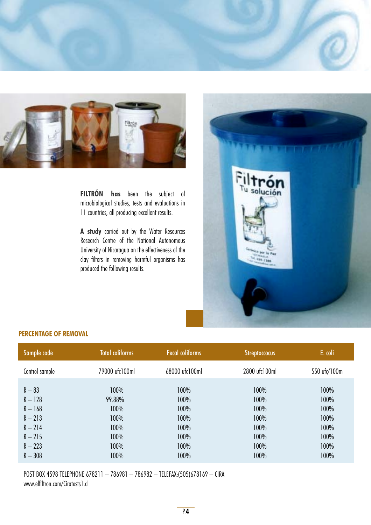



**FILTRÓN has** been the subject of microbiological studies, tests and evaluations in 11 countries, all producing excellent results.

**A study** carried out by the Water Resources Research Centre of the National Autonomous University of Nicaragua on the effectiveness of the clay filters in removing harmful organisms has produced the following results.



## **PERCENTAGE OF REMOVAL**

| Sample code            | <b>Total coliforms</b> | <b>Fecal coliforms</b> | <b>Streptoccocus</b> | E. coli      |
|------------------------|------------------------|------------------------|----------------------|--------------|
| Control sample         | 79000 ufc100ml         | 68000 ufc100ml         | 2800 ufc100ml        | 550 ufc/100m |
| $R - 83$               | 100%                   | 100%                   | 100%                 | 100%         |
| $R - 128$              | 99.88%                 | 100%                   | 100%                 | 100%         |
| $R - 168$              | 100%                   | 100%                   | 100%                 | 100%         |
| $R - 213$<br>$R - 214$ | 100%<br>100%           | 100%<br>100%           | 100%<br>100%         | 100%<br>100% |
| $R - 215$              | 100%                   | 100%                   | 100%                 | 100%         |
| $R - 223$              | 100%                   | 100%                   | 100%                 | 100%         |
| $R - 308$              | 100%                   | 100%                   | 100%                 | 100%         |

POST BOX 4598 TELEPHONE 678211 – 786981 – 786982 – TELEFAX:(505)678169 – CIRA www.elfiltron.com/Ciratests1.d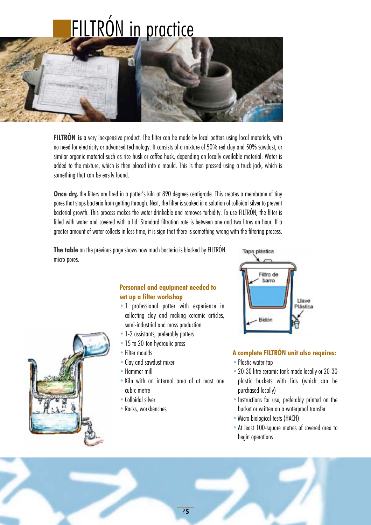# FILTRÓN in practice



**FILTRÓN is** a very inexpensive product. The filter can be made by local potters using local materials, with no need for electricity or advanced technology. It consists of a mixture of 50% red clay and 50% sawdust, or similar organic material such as rice husk or coffee husk, depending on locally available material. Water is added to the mixture, which is then placed into a mould. This is then pressed using a truck jack, which is something that can be easily found.

**Once dry,** the filters are fired in a potter's kiln at 890 degrees centigrade. This creates a membrane of tiny pores that stops bacteria from getting through. Next, the filter is soaked in a solution of colloidal silver to prevent bacterial growth. This process makes the water drinkable and removes turbidity. To use FILTRÓN, the filter is filled with water and covered with a lid. Standard filtration rate is between one and two litres an hour. If a greater amount of water collects in less time, it is sign that there is something wrong with the filtering process.

**The table** on the previous page shows how much bacteria is blocked by FILTRÓN micro pores.



## **Personnel and equipment needed to set up a filter workshop**

- •1 professional potter with experience in collecting clay and making ceramic articles, semi-industrial and mass production
- 1-2 assistants, preferably potters
- 15 to 20-ton hydraulic press
- Filter moulds
- Clay and sawdust mixer
- •Hammer mill
- •Kiln with an internal area of at least one cubic metre
- •Colloidal silver
- Racks, workbenches



## **A complete FILTRÓN unit also requires:**

- Plastic water tap
- •20-30 litre ceramic tank made locally or 20-30 plastic buckets with lids (which can be purchased locally)
- Instructions for use, preferably printed on the bucket or written on a waterproof transfer
- Micro biological tests (HACH)
- •At least 100-square metres of covered area to begin operations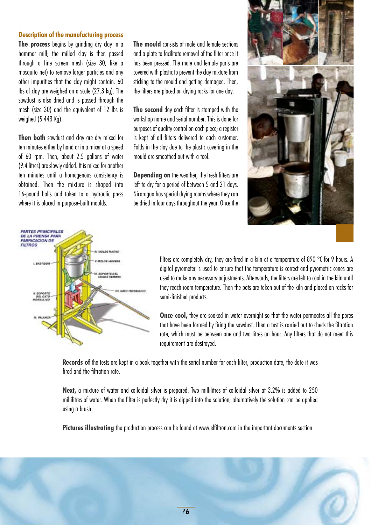### **Description of the manufacturing process**

**The process** begins by grinding dry clay in a hammer mill; the milled clay is then passed through a fine screen mesh (size 30, like a mosquito net) to remove larger particles and any other impurities that the clay might contain. 60 lbs of clay are weighed on a scale (27.3 kg). The sawdust is also dried and is passed through the mesh (size 30) and the equivalent of 12 lbs is weighed (5.443 Kg).

**Then both** sawdust and clay are dry mixed for ten minutes either by hand or in a mixer at a speed of 60 rpm. Then, about 2.5 gallons of water (9.4 litres) are slowly added. It is mixed for another ten minutes until a homogenous consistency is obtained. Then the mixture is shaped into 16-pound balls and taken to a hydraulic press where it is placed in purpose-built moulds.

**The mould** consists of male and female sections and a plate to facilitate removal of the filter once it has been pressed. The male and female parts are covered with plastic to prevent the clay mixture from sticking to the mould and getting damaged. Then, the filters are placed on drying racks for one day.

**The second** day each filter is stamped with the workshop name and serial number. This is done for purposes of quality control on each piece; a register is kept of all filters delivered to each customer. Folds in the clay due to the plastic covering in the mould are smoothed out with a tool.

**Depending on** the weather, the fresh filters are left to dry for a period of between 5 and 21 days. Nicaragua has special drying rooms where they can be dried in four days throughout the year. Once the





filters are completely dry, they are fired in a kiln at a temperature of 890 °C for 9 hours. A digital pyrometer is used to ensure that the temperature is correct and pyrometric cones are used to make any necessary adjustments. Afterwards, the filters are left to cool in the kiln until they reach room temperature. Then the pots are taken out of the kiln and placed on racks for semi-finished products.

**Once cool,** they are soaked in water overnight so that the water permeates all the pores that have been formed by firing the sawdust. Then a test is carried out to check the filtration rate, which must be between one and two litres an hour. Any filters that do not meet this requirement are destroyed.

**Records of** the tests are kept in a book together with the serial number for each filter, production date, the date it was fired and the filtration rate.

**Next,** a mixture of water and colloidal silver is prepared. Two millilitres of colloidal silver at 3.2% is added to 250 millilitres of water. When the filter is perfectly dry it is dipped into the solution; alternatively the solution can be applied using a brush.

Pictures illustrating the production process can be found at www.elfiltron.com in the important documents section.

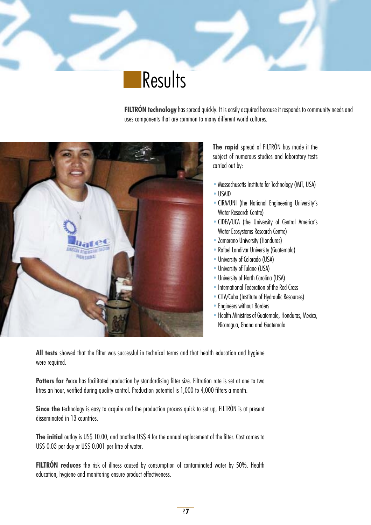**Results** 

**FILTRÓN technology** has spread quickly. It is easily acquired because it responds to community needs and uses components that are common to many different world cultures.



**The rapid** spread of FILTRÓN has made it the subject of numerous studies and laboratory tests carried out by:

- Massachusetts Institute for Technology (MIT, USA)
- •USAID
- •CIRA/UNI (the National Engineering University's Water Research Centre)
- •CIDEA/UCA (the University of Central America's Water Ecosystems Research Centre)
- •Zamorano University (Honduras)
- •Rafael Landivar University (Guatemala)
- University of Colorado (USA)
- University of Tulane (USA)
- •University of North Carolina (USA)
- •International Federation of the Red Cross
- •CITA/Cuba (Institute of Hydraulic Resources)
- Engineers without Borders
- Health Ministries of Guatemala, Honduras, Mexico, Nicaragua, Ghana and Guatemala

**All tests** showed that the filter was successful in technical terms and that health education and hygiene were required.

**Potters for** Peace has facilitated production by standardising filter size. Filtration rate is set at one to two litres an hour, verified during quality control. Production potential is 1,000 to 4,000 filters a month.

**Since the** technology is easy to acquire and the production process quick to set up. FILTRÓN is at present disseminated in 13 countries.

**The initial** outlay is US\$ 10.00, and another US\$ 4 for the annual replacement of the filter. Cost comes to US\$ 0.03 per day or US\$ 0.001 per litre of water.

**FILTRÓN reduces** the risk of illness caused by consumption of contaminated water by 50%. Health education, hygiene and monitoring ensure product effectiveness.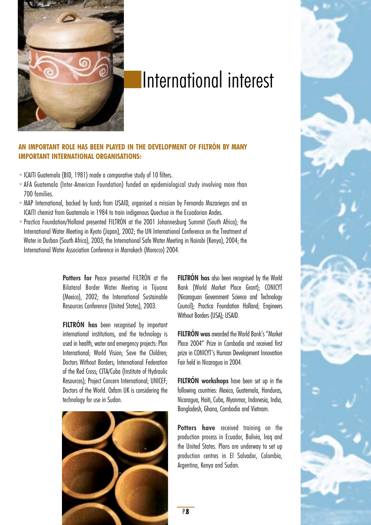

# International interest

## **AN IMPORTANT ROLE HAS BEEN PLAYED IN THE DEVELOPMENT OF FILTRÓN BY MANY IMPORTANT INTERNATIONAL ORGANISATIONS:**

- ICAITI Guatemala (BID, 1981) made a comparative study of 10 filters.
- •AFA Guatemala (Inter-American Foundation) funded an epidemiological study involving more than 700 families.
- •MAP International, backed by funds from USAID, organised a mission by Fernando Mazariegos and an ICAITI chemist from Guatemala in 1984 to train indigenous Quechua in the Ecuadorian Andes.
- •Practica Foundation/Holland presented FILTRÓN at the 2001 Johannesburg Summit (South Africa); the International Water Meeting in Kyoto (Japan), 2002; the UN International Conference on the Treatment of Water in Durban (South Africa), 2003; the International Safe Water Meeting in Nairobi (Kenya), 2004; the International Water Association Conference in Marrakech (Morocco) 2004.

**Potters for** Peace presented FILTRÓN at the Bilateral Border Water Meeting in Tijuana (Mexico), 2002; the International Sustainable Resources Conference (United States), 2003.

**FILTRÓN has** been recognised by important international institutions, and the technology is used in health, water and emergency projects: Plan International; World Vision; Save the Children; Doctors Without Borders; International Federation of the Red Cross; CITA/Cuba (Institute of Hydraulic Resources); Project Concern International; UNICEF; Doctors of the World. Oxfam UK is considering the technology for use in Sudan.



**FILTRÓN has** also been recognised by the World Bank (World Market Place Grant); CONICYT (Nicaraguan Government Science and Technology Council); Practica Foundation Holland; Engineers Without Borders (USA); USAID.

**FILTRÓN was**awarded the World Bank's "Market Place 2004" Prize in Cambodia and received first prize in CONICYT's Human Development Innovation Fair held in Nicaragua in 2004.

**FILTRÓN workshops** have been set up in the following countries: Mexico, Guatemala, Honduras, Nicaragua, Haiti, Cuba, Myanmar, Indonesia, India, Bangladesh, Ghana, Cambodia and Vietnam.

**Potters have** received training on the production process in Ecuador, Bolivia, Iraq and the United States. Plans are underway to set up production centres in El Salvador, Colombia, Argentina, Kenya and Sudan.



P.**8**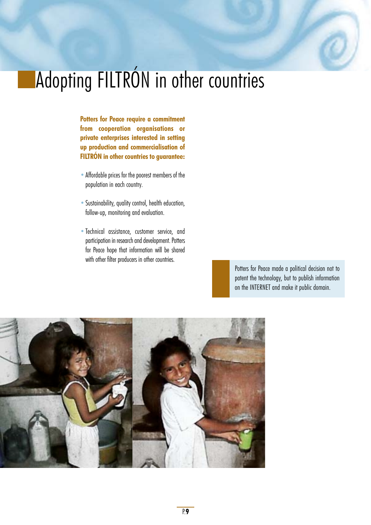# Adopting FILTRÓN in other countries

**Potters for Peace require a commitment from cooperation organisations or private enterprises interested in setting up production and commercialisation of FILTRÓN in other countries to guarantee:**

- •Affordable prices for the poorest members of the population in each country.
- •Sustainability, quality control, health education, follow-up, monitoring and evaluation.
- •Technical assistance, customer service, and participation in research and development. Potters for Peace hope that information will be shared with other filter producers in other countries.

Potters for Peace made a political decision not to patent the technology, but to publish information on the INTERNET and make it public domain.

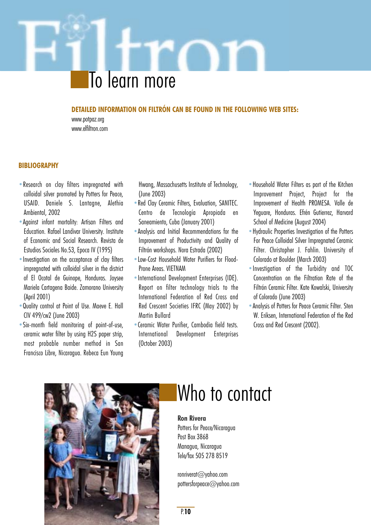# To learn more

### **DETAILED INFORMATION ON FILTRÓN CAN BE FOUND IN THE FOLLOWING WEB SITES:**

www.potpaz.org www.elfiltron.com

### **BIBLIOGRAPHY**

- •Research on clay filters impregnated with colloidal silver promoted by Potters for Peace, USAID. Daniele S. Lantagne, Alethia Ambiental, 2002
- •Against infant mortality: Artisan Filters and Education. Rafael Landivar University. Institute of Economic and Social Research. Revista de Estudios Sociales No.53, Epoca IV (1995)
- •Investigation on the acceptance of clay filters impregnated with colloidal silver in the district of El Ocotal de Guinope, Honduras. Joysee Mariela Cartagena Baide. Zamorano University (April 2001)
- •Quality control at Point of Use. Maeve E. Hall CIV 499/cw2 (June 2003)
- •Six-month field monitoring of point-of-use, ceramic water filter by using H2S paper strip, most probable number method in San Francisco Libre, Nicaragua. Rebeca Eun Young

Hwang, Massachusetts Institute of Technology, (June 2003)

- •Red Clay Ceramic Filters, Evaluation, SANITEC. Centro de Tecnología Apropiada en Saneamiento, Cuba (January 2001)
- •Analysis and Initial Recommendations for the Improvement of Productivity and Quality of Filtrón workshops. Nora Estrada (2002)
- •Low-Cost Household Water Purifiers for Flood-Prone Areas. VIETNAM
- •International Development Enterprises (IDE). Report on filter technology trials to the International Federation of Red Cross and Red Crescent Societies IFRC (May 2002) by Martin Bullard
- •Ceramic Water Purifier, Cambodia field tests. International Development Enterprises (October 2003)
- •Household Water Filters as part of the Kitchen Improvement Project, Project for the Improvement of Health PROMESA. Valle de Yeguare, Honduras. Efrén Gutierrez, Harvard School of Medicine (August 2004)
- •Hydraulic Properties Investigation of the Potters For Peace Colloidal Silver Impregnated Ceramic Filter. Christopher J. Fahlin. University of Colorado at Boulder (March 2003)
- •Investigation of the Turbidity and TOC Concentration on the Filtration Rate of the Filtrón Ceramic Filter. Kate Kowalski, University of Colorado (June 2003)
- •Analysis of Potters for Peace Ceramic Filter. Sten W. Eriksen, International Federation of the Red Cross and Red Crescent (2002).



# Who to contact

### **Ron Rivera** Potters for Peace/Nicaragua Post Box 3868

Managua, Nicaragua Tele/fax 505 278 8519

ronriverat@yahoo.com pottersforpeace@yahoo.com

P.**10**